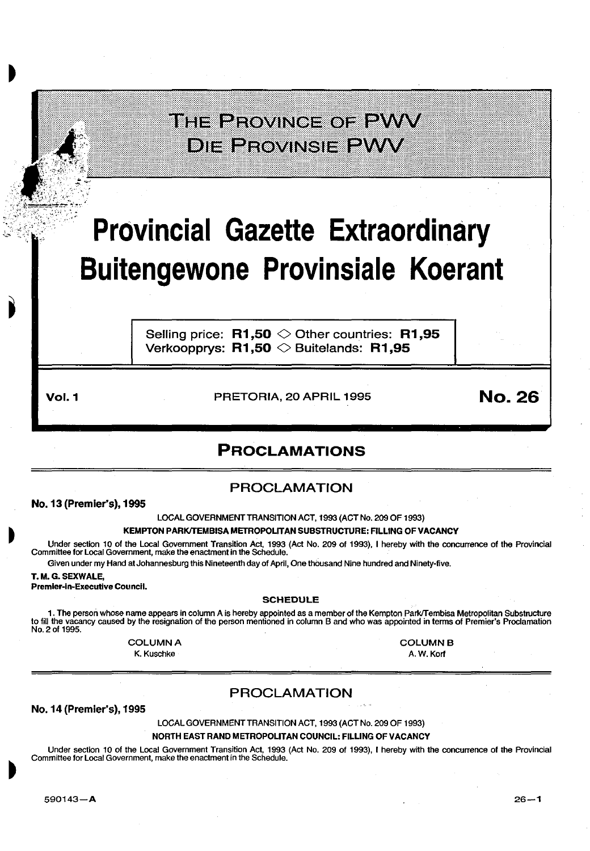## THE PROVINGE OF PWV **DIE PROVINSIE PWW**

# **Provincial Gazette Extraordinary Buitengewone Provinsiale Koerant**

Selling price:  $R1,50 \diamond 0$ ther countries:  $R1,95$ Verkoopprys:  $R1,50 \diamondsuit$  Buitelands: R1,95

**Vol. 1 PRETORIA, 20 APRIL 1995 No. 26** 

## PROCLAMATIONS

## PROCLAMATION

No. 13 (Premier's), 1995

LOCAL GOVERNMENT TRANSITION ACT, 1993 (ACT No. 209 OF 1993)

#### KEMPTON PARKITEMBISA METROPOLITAN SUBSTRUCTURE: FILLING OF VACANCY

Under section 10 of the Local Government Transition Act, 1993 (Act No. 209 of 1993), I hereby with the concurrence of the Provincial Committee for Local Government, make the enactment in the Schedule.

## Given under my Hand at Johannesburg this Nineteenth day of April, One thousand Nine hundred and Ninety-five.

### T. M.G. SEXWALE,

Premier-In-Executive Council.

#### SCHEDULE

1. The person whose name appears in column A is hereby appointed as a member of the Kempton Park/Tembisa Metropolitan Substructure to fill the vacancy caused by the resignation of the person mentioned in column B and who was appointed in terms of Premier's Proclamation No. 2 of 1995.

**COLUMN A** 

K. Kuschke

**COLUMN B** A. W. Korf

## PROCLAMATION

No. 14 (Premier's), 1995

LOCAL GOVERNMENT TRANSITION ACT, 1993 (ACT No. 209 OF 1993)

NORTH EAST RAND METROPOLITAN COUNCIL: FILLING OF VACANCY

Under section 10 of the Local Government Transition Act, 1993 (Act No. 209 of 1993), I hereby with the concurrence of the Provincial Committee for Local Government, make the enactment in the Schedule.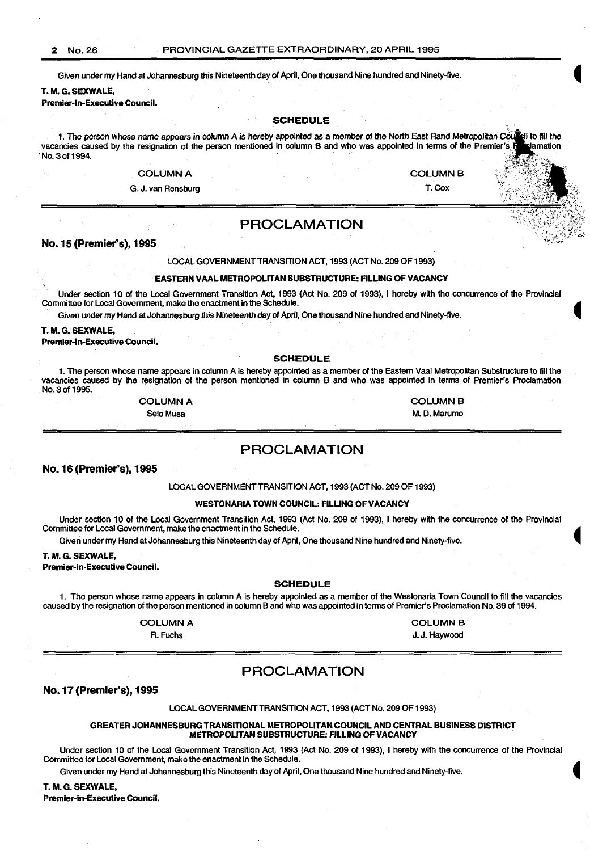Given under my Hand at Johannesburg this Nineteenth day of April, One thousand Nine hundred and Ninety-five.

T. M.G. SEXWALE,

Premier-In-Executive Council.

#### SCHEDULE

1. The person whose name appears in column A is hereby appointed as a member of the North East Rand Metropolitan Council to fill the rest in the rest in the rest in the permier's Heredian Council to fill the permier's Here vacancies caused by the resignation of the person mentioned in column B and who was appointed in terms of the Premier's No. 3 of 1994. No. 3 of 1994. The contract of the contract of the contract of the contract of the contract of the contract of the contract of the contract of the contract of the contract of the contract of the contract of the contract o

## $\hbox{\tt COLUMN\,A} \hspace{1.5cm} \begin{picture}(180,170) \put(0,0){\vector(180,180)} \put(1,0){\vector(180,180)} \put(1,0){\vector(180,180)} \put(1,0){\vector(180,180)} \put(1,0){\vector(180,180)} \put(1,0){\vector(180,180)} \put(1,0){\vector(180,180)} \put(1,0){\vector(180,180)} \put(1,0){\vector(180,180)} \put(1,0){\vector(180,180)} \put(1,$

G. J. van Rensburg T. Cox , ::- .-:-:: ~-?:J;~ *.).'·* \_

## PROCLAMATION

#### No. 15 (Premier's), 1995

LOCAL GOVERNMENT TRANSITION ACT, 1993 (ACT No. 209 OF 1993)

#### EASTERN VAAL METROPOLITAN SUBSTRUCTURE: FILLING OF VACANCY

Under section 10 of the Local Government Transition Act, 1993 (Act No. 209 of 1993), I hereby with the concurrence of the Provincial Committee for Local Government, make the enactment in the Schedule.

Given under my Hand at Johannesburg this Nineteenth day of April, One thousand Nine hundred and Ninety-five.

#### T. M.G. SEXWALE,

Premier-In-Executive Council.

#### SCHEDULE

1. The person whose name appears in column A is hereby appointed as a member of the Eastern Vaal Metropolitan Substructure to fill the vacancies caused by the resignation of the person mentioned in column B and who was appointed in terms of Premier's Proclamation No. 3 of 1995.

#### **COLUMN A**

Selo Musa

**COLUMN B** M. D. Marumo

 $\left\langle \left\langle \cdot ,\cdot \right\rangle \right\rangle$ 

## PROCLAMATION

#### No. 16 (Premier's), 1995

LOCAL GOVERNMENT TRANSITION ACT, 1993 (ACT No. 209 OF 1993)

#### WESTONARIA TOWN COUNCIL: FILLING OF VACANCY

Under section 10 of the Local Government Transition Act, 1993 (Act No. 209 of 1993), I hereby with the concurrence of the Provincial Committee for Local Government, make the enactment in the Schedule.

Given under my Hand at Johannesburg this Nineteenth day of April, One thousand Nine hundred and Ninety-five.

#### T. M.G. SEXWALE,

Premier-In-Executive Council.

#### **SCHEDULE**

1. The person whose name appears in column A is hereby appointed as a member of the Westonaria Town Council to fill the vacancies caused by the resignation of the person mentioned in column Band who was appointed in terms of Premier's Proclamation No. 39 of 1994.

#### **COLUMN A**

A. Fuchs

## PROCLAMATION

No.17(Premler's), 1995

#### LOCAL GOVERNMENT TRANSITION ACT, 1993 (ACT No. 209 OF 1993)

#### GREATER JOHANNESBURG TRANSITIONAL METROPOLITAN COUNCIL AND CENTRAL BUSINESS DISTRICT METROPOLITAN SUBSTRUCTURE: FILLING OF VACANCY

Under section 10 of the Local Government Transition Act, 1993 (Act No. 209 of 1993), I hereby with the concurrence of the Provincial Committee for Local Government, make the enactment in the Schedule.

Given under my Hand at Johannesburg this Nineteenth day of April, One thousand Nine hundred and Ninety-five.

T. M.G. SEXWALE,

Premier-in-Executive Council.

**COLUMN B** 

J. J. Haywood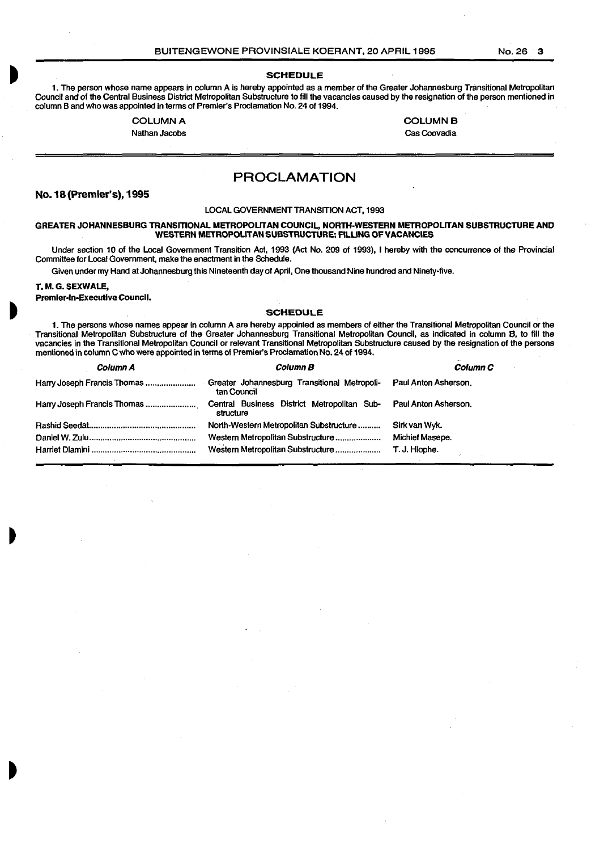#### **SCHEDULE**

1. The person whose name appears in column A is hereby appointed as a member of the Greater Johannesburg Transitional Metropolitan Council and of the Central Business District Metropolitan Substructure to fill the vacancies caused by the resignation of the person mentioned in column Band who was appointed in terms of Premier's Proclamation No. 24 of 1994.

#### **COLUMN A**

Nathan Jacobs

**COLUMN B** Cas Coovadia

PROCLAMATION

### No.1B(Premler's), 1995

#### LOCAL GOVERNMENT TRANSITION ACT, 1993

#### GREATER JOHANNESBURG TRANSITIONAL METROPOLITAN COUNCIL, NORTH-WESTERN METROPOLITAN SUBSTRUCTURE AND WESTERN METROPOLITAN SUBSTRUCTURE: FILLING OF VACANCIES

Under section 10 of the Local Government Transition Act, 1993 (Act No. 209 of 1993), I hereby with the concurrence of the Provincial Committee for Local Government, make the enactment in the Schedule.

Given under my Hand at Johannesburg this Nineteenth day of April, One thousand Nine hundred and Ninety-five.

#### T. M.G. SEXWALE,

#### Premier-in-Executive Council.

#### SCHEDULE

1. The persons whose names appear in column A are hereby appointed as members of either the Transitional Metropolitan Council or the Transitional Metropolitan Substructure of the Greater Johannesburg Transitional Metropolitan Council, as indicated in column B. to fill the vacancies in the Transitional Metropolitan Council or relevant Transitional Metropolitan Substructure caused by the resignation of the persons mentioned in column C who were appointed in terms of Premier's Proclamation No. 24 of 1994.

| Column A                    | <b>Column B</b>                                             | <b>Column C</b>      |
|-----------------------------|-------------------------------------------------------------|----------------------|
| Harry Joseph Francis Thomas | Greater Johannesburg Transitional Metropoli-<br>tan Council | Paul Anton Asherson. |
| Harry Joseph Francis Thomas | Central Business District Metropolitan Sub-<br>structure    | Paul Anton Asherson. |
|                             | North-Western Metropolitan Substructure                     | Sirk van Wyk.        |
|                             | Western Metropolitan Substructure                           | Michiel Masepe.      |
|                             | Western Metropolitan Substructure                           | T. J. Hlophe.        |